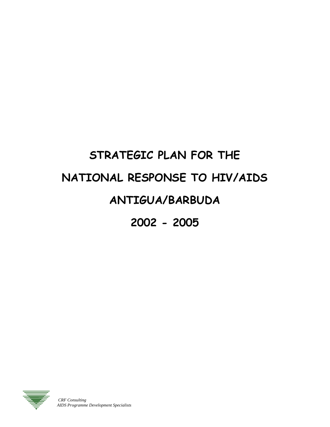# **STRATEGIC PLAN FOR THE NATIONAL RESPONSE TO HIV/AIDS ANTIGUA/BARBUDA 2002 - 2005**

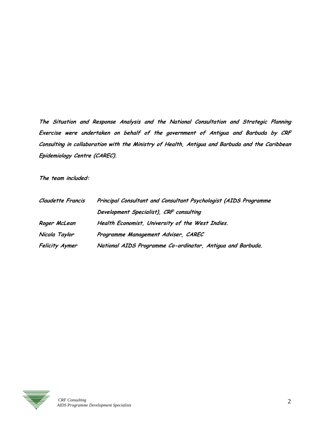**The Situation and Response Analysis and the National Consultation and Strategic Planning Exercise were undertaken on behalf of the government of Antigua and Barbuda by CRF Consulting in collaboration with the Ministry of Health, Antigua and Barbuda and the Caribbean Epidemiology Centre (CAREC).** 

**The team included:** 

| <b>Claudette Francis</b> | Principal Consultant and Consultant Psychologist (AIDS Programme |  |  |
|--------------------------|------------------------------------------------------------------|--|--|
|                          | Development Specialist), CRF consulting                          |  |  |
| Roger McLean             | Health Economist, University of the West Indies.                 |  |  |
| Nicola Taylor            | Programme Management Adviser, CAREC                              |  |  |
| <b>Felicity Aymer</b>    | National AIDS Programme Co-ordinator, Antigua and Barbuda.       |  |  |

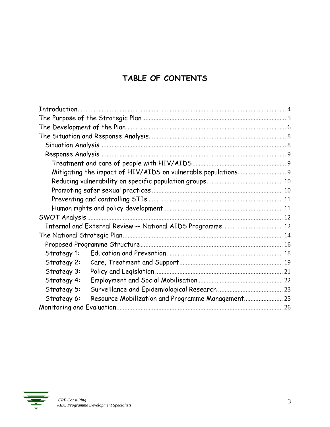# **TABLE OF CONTENTS**

|                | Mitigating the impact of HIV/AIDS on vulnerable populations 9 |  |
|----------------|---------------------------------------------------------------|--|
|                |                                                               |  |
|                |                                                               |  |
|                |                                                               |  |
|                |                                                               |  |
| SWOT Analysis. |                                                               |  |
|                | Internal and External Review -- National AIDS Programme 12    |  |
|                |                                                               |  |
|                |                                                               |  |
|                |                                                               |  |
| Strategy 2:    |                                                               |  |
| Strategy 3:    |                                                               |  |
| Strategy 4:    |                                                               |  |
| Strategy 5:    |                                                               |  |
| Strategy 6:    | Resource Mobilization and Programme Management 25             |  |
|                |                                                               |  |

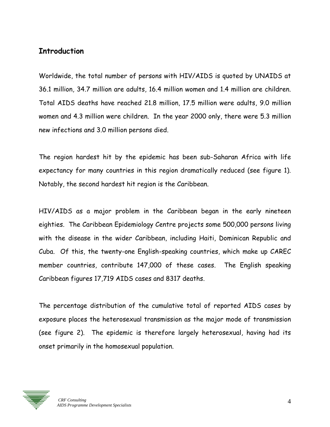## **Introduction**

Worldwide, the total number of persons with HIV/AIDS is quoted by UNAIDS at 36.1 million, 34.7 million are adults, 16.4 million women and 1.4 million are children. Total AIDS deaths have reached 21.8 million, 17.5 million were adults, 9.0 million women and 4.3 million were children. In the year 2000 only, there were 5.3 million new infections and 3.0 million persons died.

The region hardest hit by the epidemic has been sub-Saharan Africa with life expectancy for many countries in this region dramatically reduced (see figure 1). Notably, the second hardest hit region is the Caribbean.

HIV/AIDS as a major problem in the Caribbean began in the early nineteen eighties. The Caribbean Epidemiology Centre projects some 500,000 persons living with the disease in the wider Caribbean, including Haiti, Dominican Republic and Cuba. Of this, the twenty-one English-speaking countries, which make up CAREC member countries, contribute 147,000 of these cases. The English speaking Caribbean figures 17,719 AIDS cases and 8317 deaths.

The percentage distribution of the cumulative total of reported AIDS cases by exposure places the heterosexual transmission as the major mode of transmission (see figure 2). The epidemic is therefore largely heterosexual, having had its onset primarily in the homosexual population.

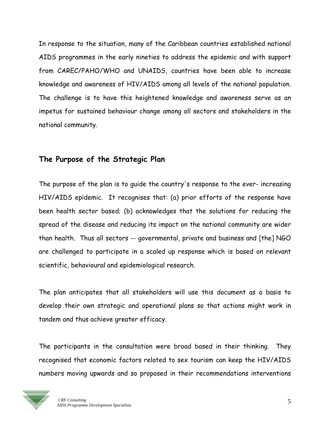In response to the situation, many of the Caribbean countries established national AIDS programmes in the early nineties to address the epidemic and with support from CAREC/PAHO/WHO and UNAIDS, countries have been able to increase knowledge and awareness of HIV/AIDS among all levels of the national population. The challenge is to have this heightened knowledge and awareness serve as an impetus for sustained behaviour change among all sectors and stakeholders in the national community.

## **The Purpose of the Strategic Plan**

The purpose of the plan is to guide the country's response to the ever- increasing HIV/AIDS epidemic. It recognises that: (a) prior efforts of the response have been health sector based; (b) acknowledges that the solutions for reducing the spread of the disease and reducing its impact on the national community are wider than health. Thus all sectors -- governmental, private and business and [the] NGO are challenged to participate in a scaled up response which is based on relevant scientific, behavioural and epidemiological research.

The plan anticipates that all stakeholders will use this document as a basis to develop their own strategic and operational plans so that actions might work in tandem and thus achieve greater efficacy.

The participants in the consultation were broad based in their thinking. They recognised that economic factors related to sex tourism can keep the HIV/AIDS numbers moving upwards and so proposed in their recommendations interventions

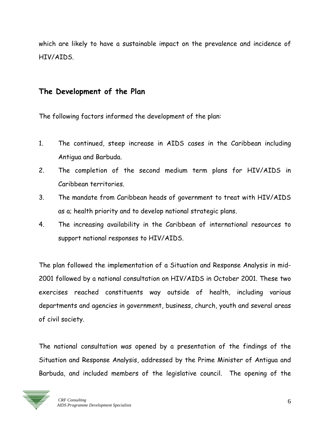which are likely to have a sustainable impact on the prevalence and incidence of HIV/AIDS.

## **The Development of the Plan**

The following factors informed the development of the plan:

- 1. The continued, steep increase in AIDS cases in the Caribbean including Antigua and Barbuda.
- 2. The completion of the second medium term plans for HIV/AIDS in Caribbean territories.
- 3. The mandate from Caribbean heads of government to treat with HIV/AIDS as a; health priority and to develop national strategic plans.
- 4. The increasing availability in the Caribbean of international resources to support national responses to HIV/AIDS.

The plan followed the implementation of a Situation and Response Analysis in mid-2001 followed by a national consultation on HIV/AIDS in October 2001. These two exercises reached constituents way outside of health, including various departments and agencies in government, business, church, youth and several areas of civil society.

The national consultation was opened by a presentation of the findings of the Situation and Response Analysis, addressed by the Prime Minister of Antigua and Barbuda, and included members of the legislative council. The opening of the

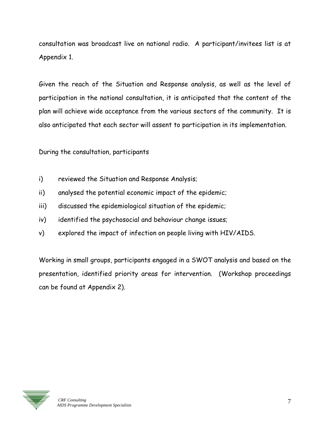consultation was broadcast live on national radio. A participant/invitees list is at Appendix 1.

Given the reach of the Situation and Response analysis, as well as the level of participation in the national consultation, it is anticipated that the content of the plan will achieve wide acceptance from the various sectors of the community. It is also anticipated that each sector will assent to participation in its implementation.

During the consultation, participants

- i) reviewed the Situation and Response Analysis;
- ii) analysed the potential economic impact of the epidemic;
- iii) discussed the epidemiological situation of the epidemic;
- iv) identified the psychosocial and behaviour change issues;
- v) explored the impact of infection on people living with HIV/AIDS.

Working in small groups, participants engaged in a SWOT analysis and based on the presentation, identified priority areas for intervention. (Workshop proceedings can be found at Appendix 2).

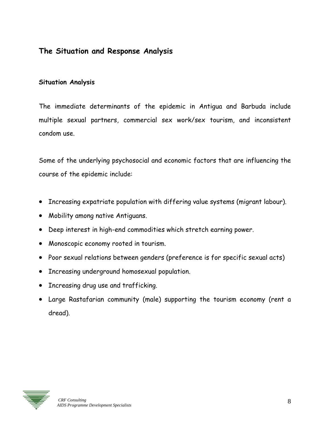## **The Situation and Response Analysis**

### **Situation Analysis**

The immediate determinants of the epidemic in Antigua and Barbuda include multiple sexual partners, commercial sex work/sex tourism, and inconsistent condom use.

Some of the underlying psychosocial and economic factors that are influencing the course of the epidemic include:

- Increasing expatriate population with differing value systems (migrant labour).
- Mobility among native Antiguans.
- Deep interest in high-end commodities which stretch earning power.
- Monoscopic economy rooted in tourism.
- Poor sexual relations between genders (preference is for specific sexual acts)
- Increasing underground homosexual population.
- Increasing drug use and trafficking.
- Large Rastafarian community (male) supporting the tourism economy (rent a dread).

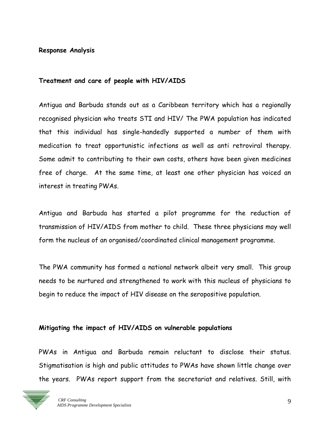#### **Response Analysis**

#### **Treatment and care of people with HIV/AIDS**

Antigua and Barbuda stands out as a Caribbean territory which has a regionally recognised physician who treats STI and HIV/ The PWA population has indicated that this individual has single-handedly supported a number of them with medication to treat opportunistic infections as well as anti retroviral therapy. Some admit to contributing to their own costs, others have been given medicines free of charge. At the same time, at least one other physician has voiced an interest in treating PWAs.

Antigua and Barbuda has started a pilot programme for the reduction of transmission of HIV/AIDS from mother to child. These three physicians may well form the nucleus of an organised/coordinated clinical management programme.

The PWA community has formed a national network albeit very small. This group needs to be nurtured and strengthened to work with this nucleus of physicians to begin to reduce the impact of HIV disease on the seropositive population.

#### **Mitigating the impact of HIV/AIDS on vulnerable populations**

PWAs in Antigua and Barbuda remain reluctant to disclose their status. Stigmatisation is high and public attitudes to PWAs have shown little change over the years. PWAs report support from the secretariat and relatives. Still, with

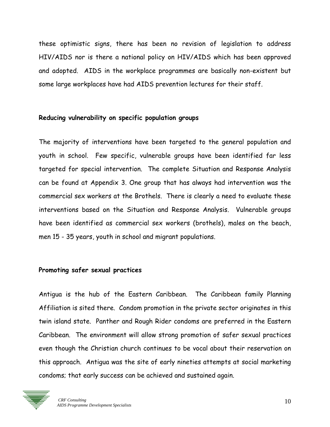these optimistic signs, there has been no revision of legislation to address HIV/AIDS nor is there a national policy on HIV/AIDS which has been approved and adopted. AIDS in the workplace programmes are basically non-existent but some large workplaces have had AIDS prevention lectures for their staff.

#### **Reducing vulnerability on specific population groups**

The majority of interventions have been targeted to the general population and youth in school. Few specific, vulnerable groups have been identified far less targeted for special intervention. The complete Situation and Response Analysis can be found at Appendix 3. One group that has always had intervention was the commercial sex workers at the Brothels. There is clearly a need to evaluate these interventions based on the Situation and Response Analysis. Vulnerable groups have been identified as commercial sex workers (brothels), males on the beach, men 15 - 35 years, youth in school and migrant populations.

#### **Promoting safer sexual practices**

Antigua is the hub of the Eastern Caribbean. The Caribbean family Planning Affiliation is sited there. Condom promotion in the private sector originates in this twin island state. Panther and Rough Rider condoms are preferred in the Eastern Caribbean. The environment will allow strong promotion of safer sexual practices even though the Christian church continues to be vocal about their reservation on this approach. Antigua was the site of early nineties attempts at social marketing condoms; that early success can be achieved and sustained again.

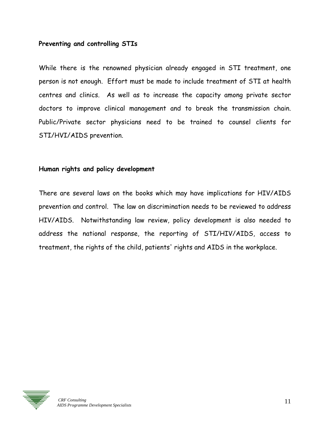#### **Preventing and controlling STIs**

While there is the renowned physician already engaged in STI treatment, one person is not enough. Effort must be made to include treatment of STI at health centres and clinics. As well as to increase the capacity among private sector doctors to improve clinical management and to break the transmission chain. Public/Private sector physicians need to be trained to counsel clients for STI/HVI/AIDS prevention.

#### **Human rights and policy development**

There are several laws on the books which may have implications for HIV/AIDS prevention and control. The law on discrimination needs to be reviewed to address HIV/AIDS. Notwithstanding law review, policy development is also needed to address the national response, the reporting of STI/HIV/AIDS, access to treatment, the rights of the child, patients' rights and AIDS in the workplace.

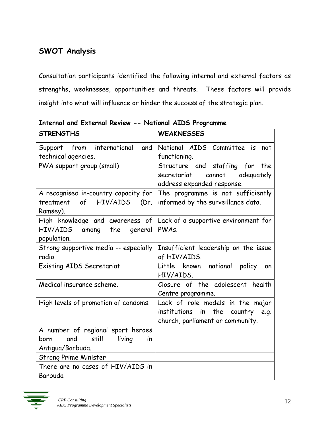# **SWOT Analysis**

Consultation participants identified the following internal and external factors as strengths, weaknesses, opportunities and threats. These factors will provide insight into what will influence or hinder the success of the strategic plan.

| <b>STRENGTHS</b>                                                | <b>WEAKNESSES</b>                                                      |
|-----------------------------------------------------------------|------------------------------------------------------------------------|
| Support from international<br>and                               | National AIDS Committee is not                                         |
| technical agencies.                                             | functioning.                                                           |
| PWA support group (small)                                       | Structure and staffing for the                                         |
|                                                                 | cannot adequately<br>secretariat                                       |
|                                                                 | address expanded response.                                             |
| A recognised in-country capacity for                            | The programme is not sufficiently                                      |
| treatment of HIV/AIDS (Dr.   informed by the surveillance data. |                                                                        |
| Ramsey).                                                        |                                                                        |
|                                                                 | High knowledge and awareness of   Lack of a supportive environment for |
| HIV/AIDS<br>among the general                                   | PWAs.                                                                  |
| population.                                                     |                                                                        |
| Strong supportive media -- especially                           | Insufficient leadership on the issue                                   |
| radio.                                                          | of HIV/AIDS.                                                           |
| <b>Existing AIDS Secretariat</b>                                | Little known national policy<br>on<br>HIV/AIDS.                        |
| Medical insurance scheme.                                       | Closure of the adolescent health                                       |
|                                                                 | Centre programme.                                                      |
| High levels of promotion of condoms.                            | Lack of role models in the major                                       |
|                                                                 | institutions in<br>the country e.g.                                    |
|                                                                 | church, parliament or community.                                       |
| A number of regional sport heroes                               |                                                                        |
| still<br>living<br>and<br>born<br>in                            |                                                                        |
| Antigua/Barbuda.                                                |                                                                        |
| <b>Strong Prime Minister</b>                                    |                                                                        |
| There are no cases of HIV/AIDS in                               |                                                                        |
| Barbuda                                                         |                                                                        |

**Internal and External Review -- National AIDS Programme** 

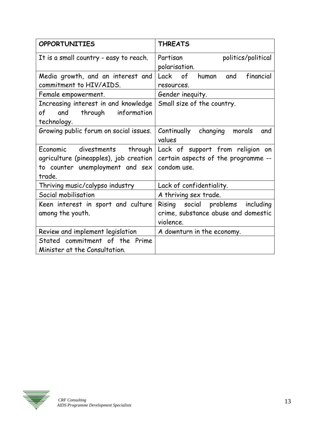| <b>OPPORTUNITIES</b>                   | <b>THREATS</b>                        |
|----------------------------------------|---------------------------------------|
| It is a small country - easy to reach. | Partisan<br>politics/political        |
|                                        | polarisation.                         |
| Media growth, and an interest and      | Lack of human and<br>financial        |
| commitment to HIV/AIDS.                | resources.                            |
| Female empowerment.                    | Gender inequity.                      |
| Increasing interest in and knowledge   | Small size of the country.            |
| and through information<br>of          |                                       |
| technology.                            |                                       |
| Growing public forum on social issues. | Continually changing<br>morals<br>and |
|                                        | values                                |
| Economic divestments through           | Lack of support from religion on      |
| agriculture (pineapples), job creation | certain aspects of the programme --   |
| to counter unemployment and sex        | condom use.                           |
| trade.                                 |                                       |
| Thriving music/calypso industry        | Lack of confidentiality.              |
| Social mobilisation                    | A thriving sex trade.                 |
| Keen interest in sport and culture     | Rising social problems including      |
| among the youth.                       | crime, substance abuse and domestic   |
|                                        | violence.                             |
| Review and implement legislation       | A downturn in the economy.            |
| Stated commitment of the Prime         |                                       |
| Minister at the Consultation.          |                                       |

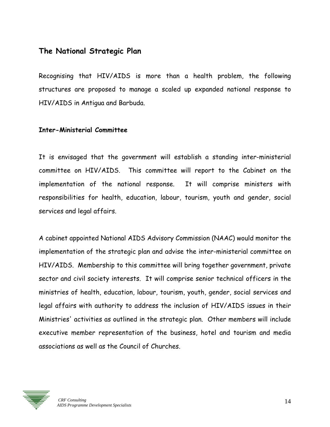## **The National Strategic Plan**

Recognising that HIV/AIDS is more than a health problem, the following structures are proposed to manage a scaled up expanded national response to HIV/AIDS in Antigua and Barbuda.

#### **Inter-Ministerial Committee**

It is envisaged that the government will establish a standing inter-ministerial committee on HIV/AIDS. This committee will report to the Cabinet on the implementation of the national response. It will comprise ministers with responsibilities for health, education, labour, tourism, youth and gender, social services and legal affairs.

A cabinet appointed National AIDS Advisory Commission (NAAC) would monitor the implementation of the strategic plan and advise the inter-ministerial committee on HIV/AIDS. Membership to this committee will bring together government, private sector and civil society interests. It will comprise senior technical officers in the ministries of health, education, labour, tourism, youth, gender, social services and legal affairs with authority to address the inclusion of HIV/AIDS issues in their Ministries' activities as outlined in the strategic plan. Other members will include executive member representation of the business, hotel and tourism and media associations as well as the Council of Churches.

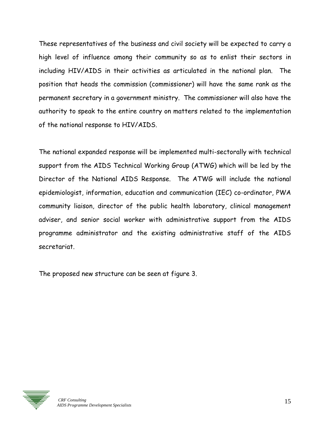These representatives of the business and civil society will be expected to carry a high level of influence among their community so as to enlist their sectors in including HIV/AIDS in their activities as articulated in the national plan. The position that heads the commission (commissioner) will have the same rank as the permanent secretary in a government ministry. The commissioner will also have the authority to speak to the entire country on matters related to the implementation of the national response to HIV/AIDS.

The national expanded response will be implemented multi-sectorally with technical support from the AIDS Technical Working Group (ATWG) which will be led by the Director of the National AIDS Response. The ATWG will include the national epidemiologist, information, education and communication (IEC) co-ordinator, PWA community liaison, director of the public health laboratory, clinical management adviser, and senior social worker with administrative support from the AIDS programme administrator and the existing administrative staff of the AIDS secretariat.

The proposed new structure can be seen at figure 3.

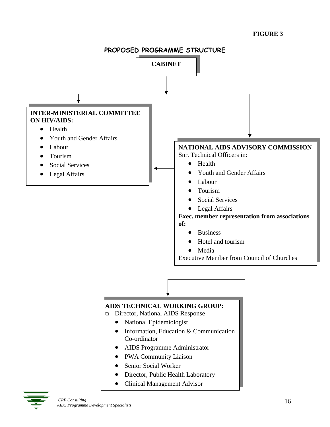

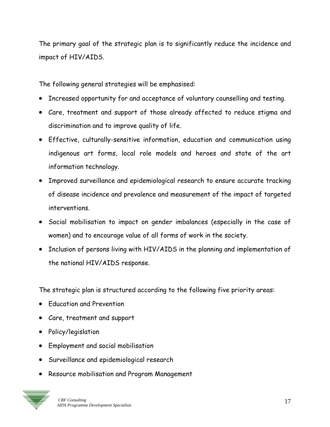The primary goal of the strategic plan is to significantly reduce the incidence and impact of HIV/AIDS.

The following general strategies will be emphasised:

- Increased opportunity for and acceptance of voluntary counselling and testing.
- Care, treatment and support of those already affected to reduce stigma and discrimination and to improve quality of life.
- Effective, culturally-sensitive information, education and communication using indigenous art forms, local role models and heroes and state of the art information technology.
- Improved surveillance and epidemiological research to ensure accurate tracking of disease incidence and prevalence and measurement of the impact of targeted interventions.
- Social mobilisation to impact on gender imbalances (especially in the case of women) and to encourage value of all forms of work in the society.
- Inclusion of persons living with HIV/AIDS in the planning and implementation of the national HIV/AIDS response.

The strategic plan is structured according to the following five priority areas:

- Education and Prevention
- Care, treatment and support
- Policy/legislation
- Employment and social mobilisation
- Surveillance and epidemiological research
- Resource mobilisation and Program Management

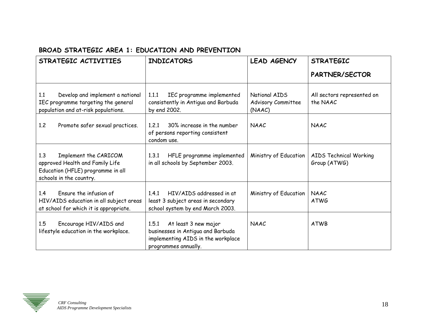## **BROAD STRATEGIC AREA 1: EDUCATION AND PREVENTION**

| STRATEGIC ACTIVITIES                                                                                                            | <b>INDICATORS</b>                                                                                                                | <b>LEAD AGENCY</b>                            | <b>STRATEGIC</b>                       |
|---------------------------------------------------------------------------------------------------------------------------------|----------------------------------------------------------------------------------------------------------------------------------|-----------------------------------------------|----------------------------------------|
|                                                                                                                                 |                                                                                                                                  |                                               | PARTNER/SECTOR                         |
| Develop and implement a national<br>1.1<br>IEC programme targeting the general<br>population and at-risk populations.           | 1.1.1<br>IEC programme implemented<br>consistently in Antigua and Barbuda<br>by end 2002.                                        | National AIDS<br>Advisory Committee<br>(NAAC) | All sectors represented on<br>the NAAC |
| 1.2<br>Promote safer sexual practices.                                                                                          | 30% increase in the number<br>1.2.1<br>of persons reporting consistent<br>condom use.                                            | <b>NAAC</b>                                   | <b>NAAC</b>                            |
| 1,3<br>Implement the CARICOM<br>approved Health and Family Life<br>Education (HFLE) programme in all<br>schools in the country. | HFLE programme implemented<br>1.3.1<br>in all schools by September 2003.                                                         | Ministry of Education                         | AIDS Technical Working<br>Group (ATWG) |
| 1.4<br>Ensure the infusion of<br>HIV/AIDS education in all subject areas<br>at school for which it is appropriate.              | HIV/AIDS addressed in at<br>1.4.1<br>least 3 subject areas in secondary<br>school system by end March 2003.                      | Ministry of Education                         | <b>NAAC</b><br><b>ATWG</b>             |
| 1.5<br>Encourage HIV/AIDS and<br>lifestyle education in the workplace.                                                          | At least 3 new major<br>1.5.1<br>businesses in Antigua and Barbuda<br>implementing AIDS in the workplace<br>programmes annually. | <b>NAAC</b>                                   | <b>ATWB</b>                            |

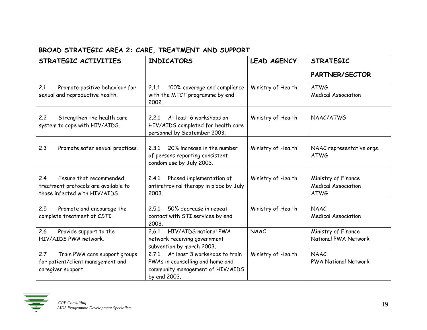# **BROAD STRATEGIC AREA 2: CARE, TREATMENT AND SUPPORT**

| STRATEGIC ACTIVITIES                                                                                   | <b>INDICATORS</b>                                                                                                              | <b>LEAD AGENCY</b> | <b>STRATEGIC</b>                                                 |
|--------------------------------------------------------------------------------------------------------|--------------------------------------------------------------------------------------------------------------------------------|--------------------|------------------------------------------------------------------|
|                                                                                                        |                                                                                                                                |                    | PARTNER/SECTOR                                                   |
| 2.1<br>Promote positive behaviour for<br>sexual and reproductive health.                               | 100% coverage and compliance<br>2.1.1<br>with the MTCT programme by end<br>2002.                                               | Ministry of Health | <b>ATWG</b><br><b>Medical Association</b>                        |
| Strengthen the health care<br>2.2<br>system to cope with HIV/AIDS.                                     | At least 6 workshops on<br>2.2.1<br>HIV/AIDS completed for health care<br>personnel by September 2003.                         | Ministry of Health | NAAC/ATWG                                                        |
| 2.3<br>Promote safer sexual practices.                                                                 | 20% increase in the number<br>2.3.1<br>of persons reporting consistent<br>condom use by July 2003.                             | Ministry of Health | NAAC representative orgs.<br><b>ATWG</b>                         |
| 2.4<br>Ensure that recommended<br>treatment protocols are available to<br>those infected with HIV/AIDS | Phased implementation of<br>2.4.1<br>antiretroviral therapy in place by July<br>2003.                                          | Ministry of Health | Ministry of Finance<br><b>Medical Association</b><br><b>ATWG</b> |
| 2.5<br>Promote and encourage the<br>complete treatment of CSTI.                                        | 2.5.1<br>50% decrease in repeat<br>contact with STI services by end<br>2003.                                                   | Ministry of Health | <b>NAAC</b><br><b>Medical Association</b>                        |
| 2.6<br>Provide support to the<br>HIV/AIDS PWA network.                                                 | HIV/AIDS national PWA<br>2.6.1<br>network receiving government<br>subvention by march 2003.                                    | <b>NAAC</b>        | Ministry of Finance<br>National PWA Network                      |
| 2.7<br>Train PWA care support groups<br>for patient/client management and<br>caregiver support.        | At least 3 workshops to train<br>2.7.1<br>PWAs in counselling and home and<br>community management of HIV/AIDS<br>by end 2003. | Ministry of Health | <b>NAAC</b><br><b>PWA National Network</b>                       |

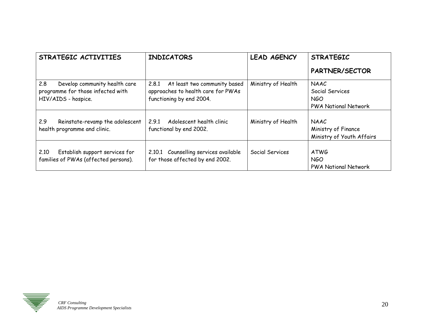| STRATEGIC ACTIVITIES                                                                             | <b>INDICATORS</b>                                                                                       | LEAD AGENCY        | <b>STRATEGIC</b>                                                      |
|--------------------------------------------------------------------------------------------------|---------------------------------------------------------------------------------------------------------|--------------------|-----------------------------------------------------------------------|
|                                                                                                  |                                                                                                         |                    | PARTNER/SECTOR                                                        |
| 2.8<br>Develop community health care<br>programme for those infected with<br>HIV/AIDS - hospice. | 2.8.1<br>At least two community based<br>approaches to health care for PWAs<br>functioning by end 2004. | Ministry of Health | <b>NAAC</b><br>Social Services<br>NGO.<br><b>PWA National Network</b> |
| 2.9<br>Reinstate-revamp the adolescent<br>health programme and clinic.                           | Adolescent health clinic<br>2.9.1<br>functional by end 2002.                                            | Ministry of Health | <b>NAAC</b><br>Ministry of Finance<br>Ministry of Youth Affairs       |
| 2.10<br>Establish support services for<br>families of PWAs (affected persons).                   | 2.10.1 Counselling services available<br>for those affected by end 2002.                                | Social Services    | <b>ATWG</b><br>NGO<br><b>PWA National Network</b>                     |

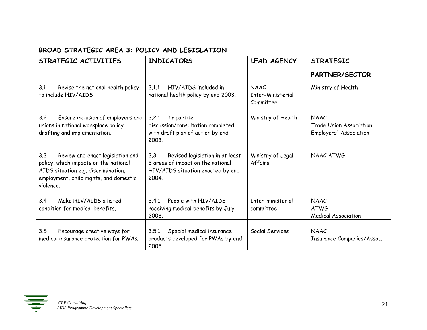## **BROAD STRATEGIC AREA 3: POLICY AND LEGISLATION**

| STRATEGIC ACTIVITIES                                                                                                                                                           | <b>INDICATORS</b>                                                                                                           | <b>LEAD AGENCY</b>                            | <b>STRATEGIC</b>                                                        |
|--------------------------------------------------------------------------------------------------------------------------------------------------------------------------------|-----------------------------------------------------------------------------------------------------------------------------|-----------------------------------------------|-------------------------------------------------------------------------|
|                                                                                                                                                                                |                                                                                                                             |                                               | PARTNER/SECTOR                                                          |
| 3.1<br>Revise the national health policy<br>to include HIV/AIDS                                                                                                                | HIV/AIDS included in<br>3.1.1<br>national health policy by end 2003.                                                        | <b>NAAC</b><br>Inter-Ministerial<br>Committee | Ministry of Health                                                      |
| Ensure inclusion of employers and<br>3.2<br>unions in national workplace policy<br>drafting and implementation.                                                                | 3.2.1<br>Tripartite<br>discussion/consultation completed<br>with draft plan of action by end<br>2003.                       | Ministry of Health                            | <b>NAAC</b><br><b>Trade Union Association</b><br>Employers' Association |
| 3.3<br>Review and enact legislation and<br>policy, which impacts on the national<br>AIDS situation e.g. discrimination,<br>employment, child rights, and domestic<br>violence. | Revised legislation in at least<br>3.3.1<br>3 areas of impact on the national<br>HIV/AIDS situation enacted by end<br>2004. | Ministry of Legal<br>Affairs                  | NAAC ATWG                                                               |
| Make HIV/AIDS a listed<br>3.4<br>condition for medical benefits.                                                                                                               | People with HIV/AIDS<br>3.4.1<br>receiving medical benefits by July<br>2003.                                                | Inter-ministerial<br>committee                | <b>NAAC</b><br><b>ATWG</b><br><b>Medical Association</b>                |
| 3.5<br>Encourage creative ways for<br>medical insurance protection for PWAs.                                                                                                   | Special medical insurance<br>3.5.1<br>products developed for PWAs by end<br>2005.                                           | Social Services                               | <b>NAAC</b><br>Insurance Companies/Assoc.                               |

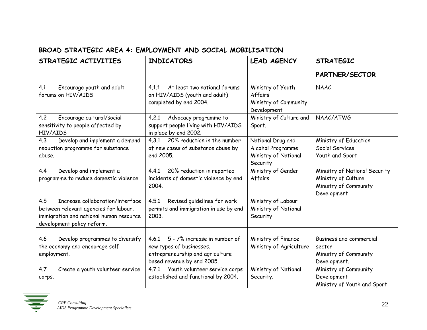## **BROAD STRATEGIC AREA 4: EMPLOYMENT AND SOCIAL MOBILISATION**

| STRATEGIC ACTIVITIES                                                                                                                                      | <b>INDICATORS</b>                                                                                                                 | <b>LEAD AGENCY</b>                                                         | <b>STRATEGIC</b>                                                                             |
|-----------------------------------------------------------------------------------------------------------------------------------------------------------|-----------------------------------------------------------------------------------------------------------------------------------|----------------------------------------------------------------------------|----------------------------------------------------------------------------------------------|
|                                                                                                                                                           |                                                                                                                                   |                                                                            | PARTNER/SECTOR                                                                               |
| Encourage youth and adult<br>4.1<br>forums on HIV/AIDS                                                                                                    | At least two national forums<br>4.1.1<br>on HIV/AIDS (youth and adult)<br>completed by end 2004.                                  | Ministry of Youth<br>Affairs<br>Ministry of Community<br>Development       | <b>NAAC</b>                                                                                  |
| Encourage cultural/social<br>4.2<br>sensitivity to people affected by<br>HIV/AIDS                                                                         | Advocacy programme to<br>4.2.1<br>support people living with HIV/AIDS<br>in place by end 2002.                                    | Ministry of Culture and<br>Sport.                                          | NAAC/ATWG                                                                                    |
| Develop and implement a demand<br>4.3<br>reduction programme for substance<br>abuse.                                                                      | 20% reduction in the number<br>4.3.1<br>of new cases of substance abuse by<br>end 2005.                                           | National Drug and<br>Alcohol Programme<br>Ministry of National<br>Security | Ministry of Education<br>Social Services<br>Youth and Sport                                  |
| 4.4<br>Develop and implement a<br>programme to reduce domestic violence.                                                                                  | 20% reduction in reported<br>4.4.1<br>incidents of domestic violence by end<br>2004.                                              | Ministry of Gender<br>Affairs                                              | Ministry of National Security<br>Ministry of Culture<br>Ministry of Community<br>Development |
| Increase collaboration/interface<br>4.5<br>between relevant agencies for labour,<br>immigration and national human resource<br>development policy reform. | Revised guidelines for work<br>4.5.1<br>permits and immigration in use by end<br>2003.                                            | Ministry of Labour<br>Ministry of National<br>Security                     |                                                                                              |
| Develop programmes to diversify<br>4.6<br>the economy and encourage self-<br>employment.                                                                  | 5 - 7% increase in number of<br>461<br>new types of businesses,<br>entrepreneurship and agriculture<br>based revenue by end 2005. | Ministry of Finance<br>Ministry of Agriculture                             | Business and commercial<br>sector<br>Ministry of Community<br>Development.                   |
| 4.7<br>Create a youth volunteer service<br>corps.                                                                                                         | Youth volunteer service corps<br>4.7.1<br>established and functional by 2004.                                                     | Ministry of National<br>Security.                                          | Ministry of Community<br>Development<br>Ministry of Youth and Sport                          |

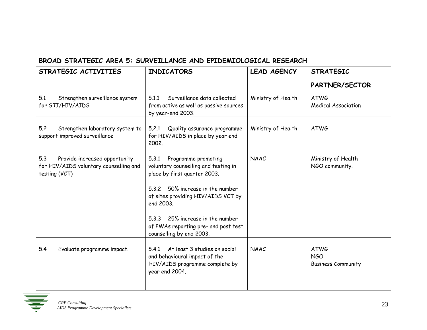## **BROAD STRATEGIC AREA 5: SURVEILLANCE AND EPIDEMIOLOGICAL RESEARCH**

| STRATEGIC ACTIVITIES                                                                            | <b>INDICATORS</b>                                                                                                                                                                                                                                                                                     | <b>LEAD AGENCY</b> | <b>STRATEGIC</b>                                       |
|-------------------------------------------------------------------------------------------------|-------------------------------------------------------------------------------------------------------------------------------------------------------------------------------------------------------------------------------------------------------------------------------------------------------|--------------------|--------------------------------------------------------|
|                                                                                                 |                                                                                                                                                                                                                                                                                                       |                    | PARTNER/SECTOR                                         |
| 5.1<br>Strengthen surveillance system<br>for STI/HIV/AIDS                                       | Surveillance data collected<br>5.1.1<br>from active as well as passive sources<br>by year-end 2003.                                                                                                                                                                                                   | Ministry of Health | <b>ATWG</b><br><b>Medical Association</b>              |
| 5.2<br>Strengthen laboratory system to<br>support improved surveillance                         | Quality assurance programme<br>5.2.1<br>for HIV/AIDS in place by year end<br>2002.                                                                                                                                                                                                                    | Ministry of Health | <b>ATWG</b>                                            |
| 5.3<br>Provide increased opportunity<br>for HIV/AIDS voluntary counselling and<br>testing (VCT) | Programme promoting<br>5.3.1<br>voluntary counselling and testing in<br>place by first quarter 2003.<br>50% increase in the number<br>532<br>of sites providing HIV/AIDS VCT by<br>end 2003.<br>25% increase in the number<br>533<br>of PWAs reporting pre- and post test<br>counselling by end 2003. | <b>NAAC</b>        | Ministry of Health<br>NGO community.                   |
| 5.4<br>Evaluate programme impact.                                                               | At least 3 studies on social<br>541<br>and behavioural impact of the<br>HIV/AIDS programme complete by<br>year end 2004.                                                                                                                                                                              | <b>NAAC</b>        | <b>ATWG</b><br><b>NGO</b><br><b>Business Community</b> |

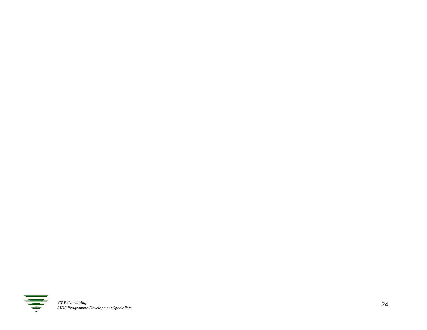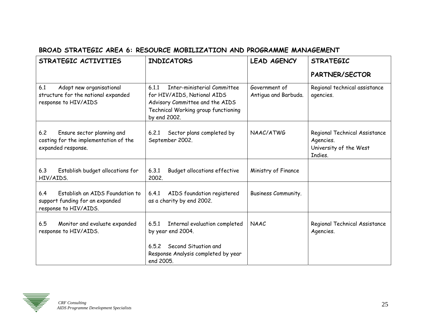## **BROAD STRATEGIC AREA 6: RESOURCE MOBILIZATION AND PROGRAMME MANAGEMENT**

| STRATEGIC ACTIVITIES                                                                               | <b>INDICATORS</b>                                                                                                                                                    | <b>LEAD AGENCY</b>                    | <b>STRATEGIC</b>                                                                |
|----------------------------------------------------------------------------------------------------|----------------------------------------------------------------------------------------------------------------------------------------------------------------------|---------------------------------------|---------------------------------------------------------------------------------|
|                                                                                                    |                                                                                                                                                                      |                                       | PARTNER/SECTOR                                                                  |
| 6.1<br>Adopt new organisational<br>structure for the national expanded<br>response to HIV/AIDS     | <b>Inter-ministerial Committee</b><br>6.1.1<br>for HIV/AIDS, National AIDS<br>Advisory Committee and the AIDS<br>Technical Working group functioning<br>by end 2002. | Government of<br>Antigua and Barbuda. | Regional technical assistance<br>agencies.                                      |
| 6.2<br>Ensure sector planning and<br>costing for the implementation of the<br>expanded response.   | 6.2.1 Sector plans completed by<br>September 2002.                                                                                                                   | NAAC/ATWG                             | Regional Technical Assistance<br>Agencies.<br>University of the West<br>Indies. |
| 6.3<br>Establish budget allocations for<br>HIV/AIDS.                                               | 6.3.1<br><b>Budget allocations effective</b><br>2002.                                                                                                                | Ministry of Finance                   |                                                                                 |
| Establish an AIDS Foundation to<br>6.4<br>support funding for an expanded<br>response to HIV/AIDS. | AIDS foundation registered<br>6.4.1<br>as a charity by end 2002.                                                                                                     | <b>Business Community.</b>            |                                                                                 |
| 6.5<br>Monitor and evaluate expanded<br>response to HIV/AIDS.                                      | Internal evaluation completed<br>6.5.1<br>by year end 2004.                                                                                                          | <b>NAAC</b>                           | Regional Technical Assistance<br>Agencies.                                      |
|                                                                                                    | Second Situation and<br>6.5.2<br>Response Analysis completed by year<br>end 2005.                                                                                    |                                       |                                                                                 |